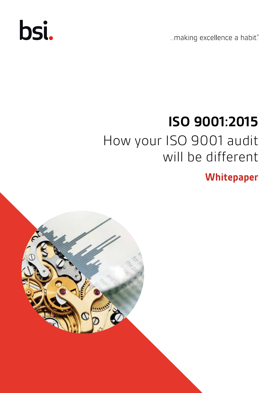# bsi.

...making excellence a habit."

## **ISO 9001:2015** How your ISO 9001 audit will be different

**Whitepaper**

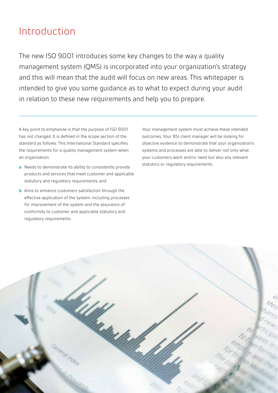### Introduction

The new ISO 9001 introduces some key changes to the way a quality management system (QMS) is incorporated into your organization's strategy and this will mean that the audit will focus on new areas. This whitepaper is intended to give you some guidance as to what to expect during your audit in relation to these new requirements and help you to prepare.

A key point to emphasise is that the purpose of ISO 9001 has not changed. It is defined in the scope section of the standard as follows: This International Standard specifies the requirements for a quality management system when an organization:

- **a.** Needs to demonstrate its ability to consistently provide products and services that meet customer and applicable statutory and regulatory requirements, and
- **b.** Aims to enhance customers satisfaction through the effective application of the system, including processes for improvement of the system and the assurance of conformity to customer and applicable statutory and regulatory requirements.

Your management system must achieve these intended outcomes. Your BSI client manager will be looking for objective evidence to demonstrate that your organization's systems and processes are able to deliver not only what your customers want and/or need but also any relevant statutory or regulatory requirements.

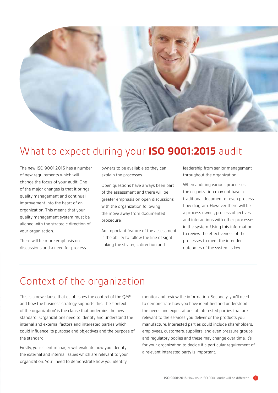

### What to expect during your **ISO 9001:2015** audit

The new ISO 9001:2015 has a number of new requirements which will change the focus of your audit. One of the major changes is that it brings quality management and continual improvement into the heart of an organization. This means that your quality management system must be aligned with the strategic direction of your organization.

There will be more emphasis on discussions and a need for process owners to be available so they can explain the processes.

Open questions have always been part of the assessment and there will be greater emphasis on open discussions with the organization following the move away from documented procedure.

An important feature of the assessment is the ability to follow the line of sight linking the strategic direction and

leadership from senior management throughout the organization.

When auditing various processes the organization may not have a traditional document or even process flow diagram. However there will be a process owner, process objectives and interactions with other processes in the system. Using this information to review the effectiveness of the processes to meet the intended outcomes of the system is key.

### Context of the organization

This is a new clause that establishes the context of the QMS and how the business strategy supports this. The 'context of the organization' is the clause that underpins the new standard. Organizations need to identify and understand the internal and external factors and interested parties which could influence its purpose and objectives and the purpose of the standard.

Firstly, your client manager will evaluate how you identify the external and internal issues which are relevant to your organization. You'll need to demonstrate how you identify,

monitor and review the information. Secondly, you'll need to demonstrate how you have identified and understood the needs and expectations of interested parties that are relevant to the services you deliver or the products you manufacture. Interested parties could include shareholders, employees, customers, suppliers, and even pressure groups and regulatory bodies and these may change over time. It's for your organization to decide if a particular requirement of a relevant interested party is important.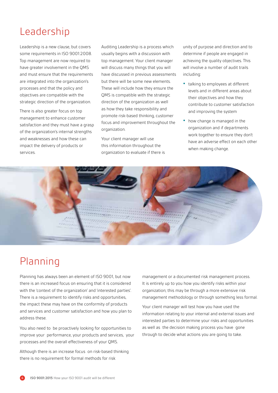### Leadership

Leadership is a new clause, but covers some requirements in ISO 9001:2008. Top management are now required to have greater involvement in the QMS and must ensure that the requirements are integrated into the organization's processes and that the policy and objectives are compatible with the strategic direction of the organization.

There is also greater focus on top management to enhance customer satisfaction and they must have a grasp of the organization's internal strengths and weaknesses and how these can impact the delivery of products or services.

Auditing Leadership is a process which usually begins with a discussion with top management. Your client manager will discuss many things that you will have discussed in previous assessments but there will be some new elements. These will include how they ensure the QMS is compatible with the strategic direction of the organization as well as how they take responsibility and promote risk-based thinking, customer focus and improvement throughout the organization.

Your client manager will use this information throughout the organization to evaluate if there is unity of purpose and direction and to determine if people are engaged in achieving the quality objectives. This will involve a number of audit trails including:

- **•** talking to employees at different levels and in different areas about their objectives and how they contribute to customer satisfaction and improving the system
- **•** how change is managed in the organization and if departments work together to ensure they don't have an adverse effect on each other when making change.



### Planning

Planning has always been an element of ISO 9001, but now there is an increased focus on ensuring that it is considered with the 'context of the organization' and 'interested parties'. There is a requirement to identify risks and opportunities, the impact these may have on the conformity of products and services and customer satisfaction and how you plan to address these.

You also need to be proactively looking for opportunities to improve your performance, your products and services, your processes and the overall effectiveness of your QMS.

Although there is an increase focus on risk-based thinking there is no requirement for formal methods for risk

management or a documented risk management process. It is entirely up to you how you identify risks within your organization; this may be through a more extensive risk management methodology or through something less formal.

Your client manager will test how you have used the information relating to your internal and external issues and interested parties to determine your risks and opportunities as well as the decision making process you have gone through to decide what actions you are going to take.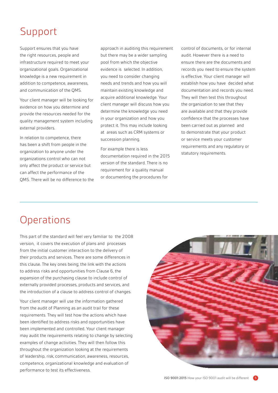### Support

Support ensures that you have the right resources, people and infrastructure required to meet your organizational goals. Organizational knowledge is a new requirement in addition to competence, awareness, and communication of the QMS.

Your client manager will be looking for evidence on how you determine and provide the resources needed for the quality management system including external providers.

In relation to competence, there has been a shift from people in the organization to anyone under the organizations control who can not only affect the product or service but can affect the performance of the QMS. There will be no difference to the

approach in auditing this requirement but there may be a wider sampling pool from which the objective evidence is selected. In addition, you need to consider changing needs and trends and how you will maintain existing knowledge and acquire additional knowledge. Your client manager will discuss how you determine the knowledge you need in your organization and how you protect it. This may include looking at areas such as CRM systems or succession planning.

For example there is less documentation required in the 2015 version of the standard. There is no requirement for a quality manual or documenting the procedures for

control of documents, or for internal audit. However there is a need to ensure there are the documents and records you need to ensure the system is effective. Your client manager will establish how you have decided what documentation and records you need. They will then test this throughout the organization to see that they are available and that they provide confidence that the processes have been carried out as planned and to demonstrate that your product or service meets your customer requirements and any regulatory or statutory requirements.

### **Operations**

This part of the standard will feel very familiar to the 2008 version, it covers the execution of plans and processes from the initial customer interaction to the delivery of their products and services. There are some differences in this clause. The key ones being; the link with the actions to address risks and opportunities from Clause 6, the expansion of the purchasing clause to include control of externally provided processes, products and services, and the introduction of a clause to address control of changes.

Your client manager will use the information gathered from the audit of Planning as an audit trail for these requirements. They will test how the actions which have been identified to address risks and opportunities have been implemented and controlled. Your client manager may audit the requirements relating to change by selecting examples of change activities. They will then follow this throughout the organization looking at the requirements of leadership, risk, communication, awareness, resources, competence, organizational knowledge and evaluation of performance to test its effectiveness.

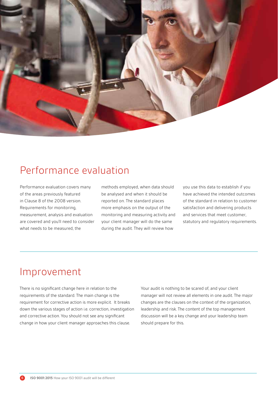

### Performance evaluation

Performance evaluation covers many of the areas previously featured in Clause 8 of the 2008 version. Requirements for monitoring, measurement, analysis and evaluation are covered and you'll need to consider what needs to be measured, the

methods employed, when data should be analysed and when it should be reported on. The standard places more emphasis on the output of the monitoring and measuring activity and your client manager will do the same during the audit. They will review how

you use this data to establish if you have achieved the intended outcomes of the standard in relation to customer satisfaction and delivering products and services that meet customer, statutory and regulatory requirements.

### Improvement

There is no significant change here in relation to the requirements of the standard. The main change is the requirement for corrective action is more explicit. It breaks down the various stages of action i.e. correction, investigation and corrective action. You should not see any significant change in how your client manager approaches this clause.

Your audit is nothing to be scared of, and your client manager will not review all elements in one audit. The major changes are the clauses on the context of the organization, leadership and risk. The content of the top management discussion will be a key change and your leadership team should prepare for this.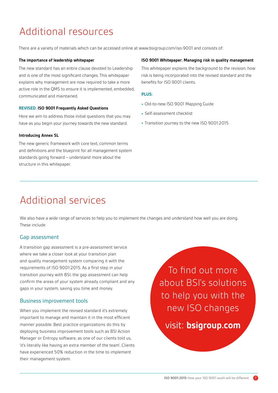### Additional resources

There are a variety of materials which can be accessed online at www.bsigroup.com/iso-9001 and consists of:

#### **The importance of leadership whitepaper**

The new standard has an entire clause devoted to Leadership and is one of the most significant changes. This whitepaper explains why management are now required to take a more active role in the QMS to ensure it is implemented, embedded, communicated and maintained.

#### **REVISED: ISO 9001 Frequently Asked Questions**

Here we aim to address those initial questions that you may have as you begin your journey towards the new standard.

#### **Introducing Annex SL**

The new generic framework with core text, common terms and definitions and the blueprint for all management system standards going forward – understand more about the structure in this whitepaper.

#### **ISO 9001 Whitepaper: Managing risk in quality management**

This whitepaper explains the background to the revision, how risk is being incorporated into the revised standard and the benefits for ISO 9001 clients.

#### **PLUS:**

- **•** Old-to-new ISO 9001 Mapping Guide
- **•** Self-assessment checklist
- **•** Transition journey to the new ISO 9001:2015

### Additional services

We also have a wide range of services to help you to implement the changes and understand how well you are doing. These include:

#### Gap assessment

A transition gap assessment is a pre-assessment service where we take a closer look at your transition plan and quality management system comparing it with the requirements of ISO 9001:2015. As a first step in your transition journey with BSI, the gap assessment can help confirm the areas of your system already compliant and any gaps in your system, saving you time and money.

#### Business improvement tools

When you implement the revised standard it's extremely important to manage and maintain it in the most efficient manner possible. Best practice organizations do this by deploying business improvement tools such as BSI Action Manager or Entropy software, as one of our clients told us, 'it's literally like having an extra member of the team'. Clients have experienced 50% reduction in the time to implement their management system.

To find out more about BSI's solutions to help you with the new ISO changes visit: **bsigroup.com**